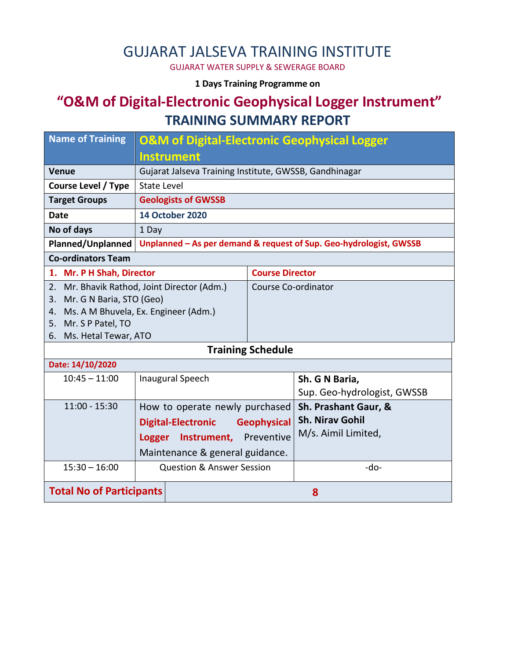# GUJARAT JALSEVA TRAINING INSTITUTE

GUJARAT WATER SUPPLY & SEWERAGE BOARD

#### **1 Days Training Programme on**

## **"O&M of Digital-Electronic Geophysical Logger Instrument" TRAINING SUMMARY REPORT**

| <b>Name of Training</b>                    | <b>O&amp;M of Digital-Electronic Geophysical Logger</b>            |                        |                             |  |  |  |
|--------------------------------------------|--------------------------------------------------------------------|------------------------|-----------------------------|--|--|--|
|                                            | <b>Instrument</b>                                                  |                        |                             |  |  |  |
| <b>Venue</b>                               | Gujarat Jalseva Training Institute, GWSSB, Gandhinagar             |                        |                             |  |  |  |
| <b>Course Level / Type</b>                 | <b>State Level</b>                                                 |                        |                             |  |  |  |
| <b>Target Groups</b>                       | <b>Geologists of GWSSB</b>                                         |                        |                             |  |  |  |
| <b>Date</b>                                | <b>14 October 2020</b>                                             |                        |                             |  |  |  |
| No of days                                 | 1 Day                                                              |                        |                             |  |  |  |
| <b>Planned/Unplanned</b>                   | Unplanned - As per demand & request of Sup. Geo-hydrologist, GWSSB |                        |                             |  |  |  |
| <b>Co-ordinators Team</b>                  |                                                                    |                        |                             |  |  |  |
| 1. Mr. P H Shah, Director                  |                                                                    | <b>Course Director</b> |                             |  |  |  |
| 2.                                         | Mr. Bhavik Rathod, Joint Director (Adm.)                           | Course Co-ordinator    |                             |  |  |  |
| Mr. G N Baria, STO (Geo)<br>3.             |                                                                    |                        |                             |  |  |  |
| Ms. A M Bhuvela, Ex. Engineer (Adm.)<br>4. |                                                                    |                        |                             |  |  |  |
| 5. Mr. S P Patel, TO                       |                                                                    |                        |                             |  |  |  |
| 6. Ms. Hetal Tewar, ATO                    |                                                                    |                        |                             |  |  |  |
| <b>Training Schedule</b>                   |                                                                    |                        |                             |  |  |  |
| Date: 14/10/2020                           |                                                                    |                        |                             |  |  |  |
| $10:45 - 11:00$                            | <b>Inaugural Speech</b>                                            |                        | Sh. G N Baria,              |  |  |  |
|                                            |                                                                    |                        | Sup. Geo-hydrologist, GWSSB |  |  |  |
| $11:00 - 15:30$                            | How to operate newly purchased                                     |                        | Sh. Prashant Gaur, &        |  |  |  |
|                                            | <b>Digital-Electronic</b>                                          | <b>Geophysical</b>     | <b>Sh. Nirav Gohil</b>      |  |  |  |
|                                            | Instrument, Preventive<br><b>Logger</b>                            |                        | M/s. Aimil Limited,         |  |  |  |
|                                            |                                                                    |                        |                             |  |  |  |
|                                            | Maintenance & general guidance.                                    |                        |                             |  |  |  |
| $15:30 - 16:00$                            | <b>Question &amp; Answer Session</b>                               |                        | -do-                        |  |  |  |
| <b>Total No of Participants</b>            |                                                                    |                        | 8                           |  |  |  |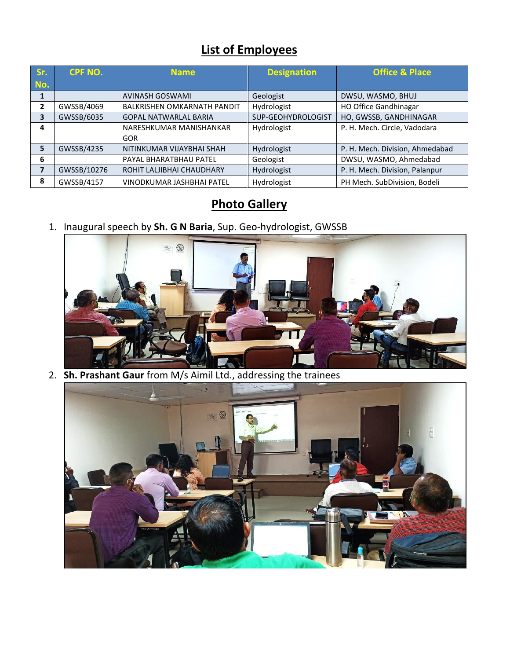## **List of Employees**

| Sr. | <b>CPF NO.</b> | <b>Name</b>                        | <b>Designation</b> | <b>Office &amp; Place</b>       |
|-----|----------------|------------------------------------|--------------------|---------------------------------|
| No. |                |                                    |                    |                                 |
|     |                | <b>AVINASH GOSWAMI</b>             | Geologist          | DWSU, WASMO, BHUJ               |
| 2   | GWSSB/4069     | <b>BALKRISHEN OMKARNATH PANDIT</b> | Hydrologist        | <b>HO Office Gandhinagar</b>    |
| 3   | GWSSB/6035     | <b>GOPAL NATWARLAL BARIA</b>       | SUP-GEOHYDROLOGIST | HO, GWSSB, GANDHINAGAR          |
| 4   |                | NARESHKUMAR MANISHANKAR            | Hydrologist        | P. H. Mech. Circle, Vadodara    |
|     |                | <b>GOR</b>                         |                    |                                 |
| 5   | GWSSB/4235     | NITINKUMAR VIJAYBHAI SHAH          | Hydrologist        | P. H. Mech. Division, Ahmedabad |
| 6   |                | PAYAL BHARATBHAU PATEL             | Geologist          | DWSU, WASMO, Ahmedabad          |
| 7   | GWSSB/10276    | ROHIT LALJIBHAI CHAUDHARY          | Hydrologist        | P. H. Mech. Division, Palanpur  |
| 8   | GWSSB/4157     | VINODKUMAR JASHBHAI PATEL          | Hydrologist        | PH Mech. SubDivision, Bodeli    |

## **Photo Gallery**

1. Inaugural speech by **Sh. G N Baria**, Sup. Geo-hydrologist, GWSSB



2. **Sh. Prashant Gaur** from M/s Aimil Ltd., addressing the trainees